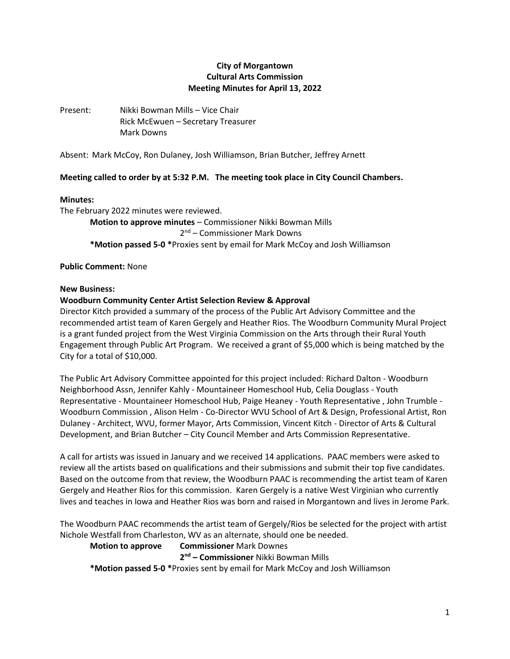# **City of Morgantown Cultural Arts Commission Meeting Minutes for April 13, 2022**

Present: Nikki Bowman Mills – Vice Chair Rick McEwuen – Secretary Treasurer Mark Downs

Absent: Mark McCoy, Ron Dulaney, Josh Williamson, Brian Butcher, Jeffrey Arnett

## **Meeting called to order by at 5:32 P.M. The meeting took place in City Council Chambers.**

#### **Minutes:**

The February 2022 minutes were reviewed. **Motion to approve minutes** – Commissioner Nikki Bowman Mills 2<sup>nd</sup> – Commissioner Mark Downs **\*Motion passed 5-0 \***Proxies sent by email for Mark McCoy and Josh Williamson

**Public Comment:** None

#### **New Business:**

### **Woodburn Community Center Artist Selection Review & Approval**

Director Kitch provided a summary of the process of the Public Art Advisory Committee and the recommended artist team of Karen Gergely and Heather Rios. The Woodburn Community Mural Project is a grant funded project from the West Virginia Commission on the Arts through their Rural Youth Engagement through Public Art Program. We received a grant of \$5,000 which is being matched by the City for a total of \$10,000.

The Public Art Advisory Committee appointed for this project included: Richard Dalton - Woodburn Neighborhood Assn, Jennifer Kahly - Mountaineer Homeschool Hub, Celia Douglass - Youth Representative - Mountaineer Homeschool Hub, Paige Heaney - Youth Representative , John Trumble - Woodburn Commission , Alison Helm - Co-Director WVU School of Art & Design, Professional Artist, Ron Dulaney - Architect, WVU, former Mayor, Arts Commission, Vincent Kitch - Director of Arts & Cultural Development, and Brian Butcher – City Council Member and Arts Commission Representative.

A call for artists was issued in January and we received 14 applications. PAAC members were asked to review all the artists based on qualifications and their submissions and submit their top five candidates. Based on the outcome from that review, the Woodburn PAAC is recommending the artist team of Karen Gergely and Heather Rios for this commission. Karen Gergely is a native West Virginian who currently lives and teaches in Iowa and Heather Rios was born and raised in Morgantown and lives in Jerome Park.

The Woodburn PAAC recommends the artist team of Gergely/Rios be selected for the project with artist Nichole Westfall from Charleston, WV as an alternate, should one be needed.

### **Motion to approve Commissioner** Mark Downes

**2 nd – Commissioner** Nikki Bowman Mills

**\*Motion passed 5-0 \***Proxies sent by email for Mark McCoy and Josh Williamson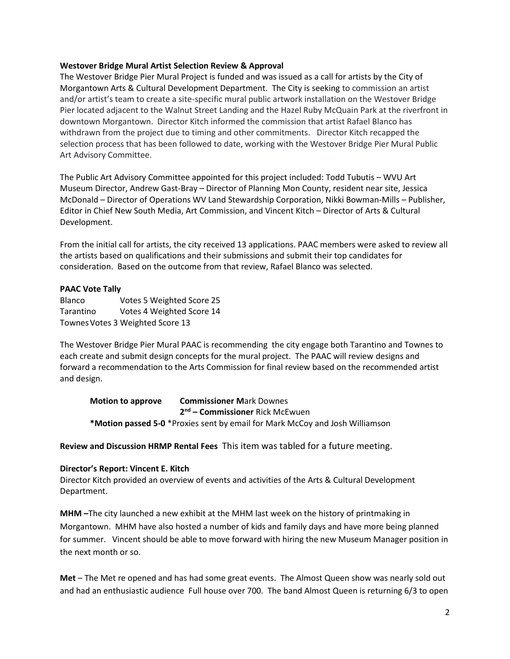#### **Westover Bridge Mural Artist Selection Review & Approval**

The Westover Bridge Pier Mural Project is funded and was issued as a call for artists by the City of Morgantown Arts & Cultural Development Department. The City is seeking to commission an artist and/or artist's team to create a site-specific mural public artwork installation on the Westover Bridge Pier located adjacent to the Walnut Street Landing and the Hazel Ruby McQuain Park at the riverfront in downtown Morgantown. Director Kitch informed the commission that artist Rafael Blanco has withdrawn from the project due to timing and other commitments. Director Kitch recapped the selection process that has been followed to date, working with the Westover Bridge Pier Mural Public Art Advisory Committee.

The Public Art Advisory Committee appointed for this project included: Todd Tubutis – WVU Art Museum Director, Andrew Gast-Bray – Director of Planning Mon County, resident near site, Jessica McDonald – Director of Operations WV Land Stewardship Corporation, Nikki Bowman-Mills – Publisher, Editor in Chief New South Media, Art Commission, and Vincent Kitch – Director of Arts & Cultural Development.

From the initial call for artists, the city received 13 applications. PAAC members were asked to review all the artists based on qualifications and their submissions and submit their top candidates for consideration. Based on the outcome from that review, Rafael Blanco was selected.

#### **PAAC Vote Tally**

Blanco Votes 5 Weighted Score 25 Tarantino Votes 4 Weighted Score 14 Townes Votes 3 Weighted Score 13

The Westover Bridge Pier Mural PAAC is recommending the city engage both Tarantino and Townes to each create and submit design concepts for the mural project. The PAAC will review designs and forward a recommendation to the Arts Commission for final review based on the recommended artist and design.

**Motion to approve Commissioner M**ark Downes **2 nd – Commissioner** Rick McEwuen **\*Motion passed 5-0** \*Proxies sent by email for Mark McCoy and Josh Williamson

**Review and Discussion HRMP Rental Fees** This item was tabled for a future meeting.

#### **Director's Report: Vincent E. Kitch**

Director Kitch provided an overview of events and activities of the Arts & Cultural Development Department.

**MHM –**The city launched a new exhibit at the MHM last week on the history of printmaking in Morgantown. MHM have also hosted a number of kids and family days and have more being planned for summer. Vincent should be able to move forward with hiring the new Museum Manager position in the next month or so.

**Met** – The Met re opened and has had some great events. The Almost Queen show was nearly sold out and had an enthusiastic audience Full house over 700. The band Almost Queen is returning 6/3 to open